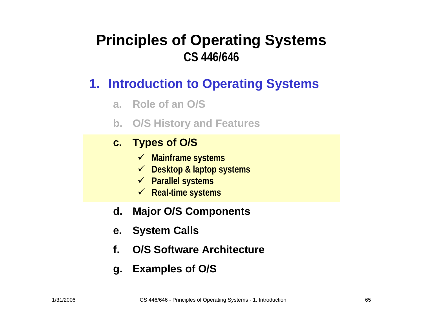#### **Principles of Operating Systems CS 446/646**

#### **1. Introduction to Operating Systems**

- **a. Role of an O/S**
- **b. O/S History and Features**

#### **c. Types of O / S**

- 9 **Mainframe systems**
- 9 **Desktop & laptop systems**
- 9 **Parallel systems**
- 9 **Real-time systems**
- **d.Major O/S Components**
- **e. System Calls**
- **f.O/S Software Architecture**
- **g. Examples of O/S**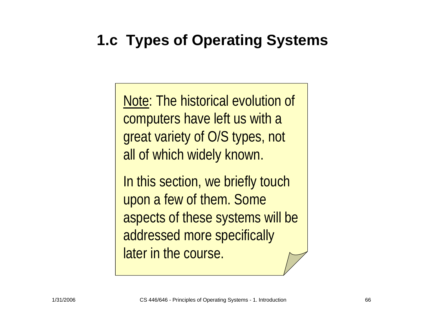# **1.c Types of Operating Systems**

Note: The historical evolution of computers have left us with a great variety of O/S types, not all of which widely known.

In this section, we briefly touch upon a few of them. Some aspects of these systems will be addressed more specifically later in the course.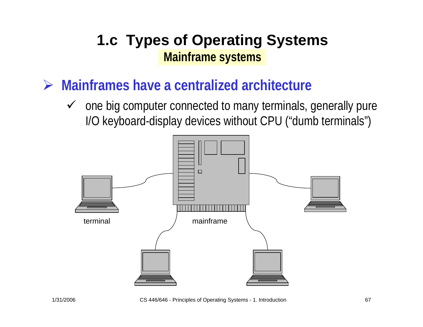- ¾ **Mainframes have a centralized architecture**
	- $\checkmark$  one big computer connected to many terminals, generally pure I/O keyboard-display devices without CPU ("dumb terminals")

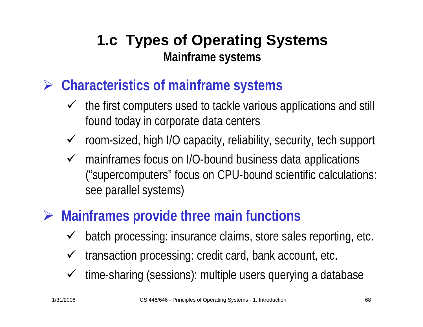- ¾ **Characteristics of mainframe systems**
	- $\checkmark$  the first computers used to tackle various applications and still found today in corporate data centers
	- $\checkmark$  room-sized, high I/O capacity, reliability, security, tech support
	- $\checkmark$  mainframes focus on I/O-bound business data applications ("supercomputers" focus on CPU-bound scientific calculations: see parallel systems)

# ¾ **Mainframes provide three main functions**

- $\checkmark$ batch processing: insurance claims, store sales reporting, etc.
- $\checkmark$ transaction processing: credit card, bank account, etc.
- $\checkmark$ time-sharing (sessions): multiple users querying a database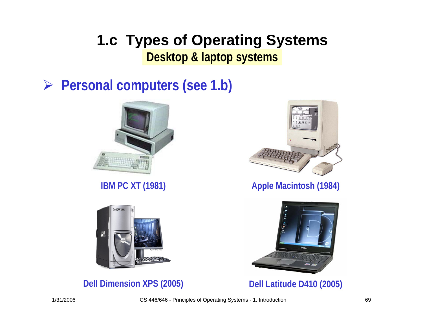#### **1.c Types of Operating Systems Desktop & laptop systems**

### ¾ **Personal computers (see 1.b)**





**Dell Dimension XPS (2005) Dell Latitude D410 (2005)**



**IBM PC XT (1981) Apple Macintosh (1984)** 

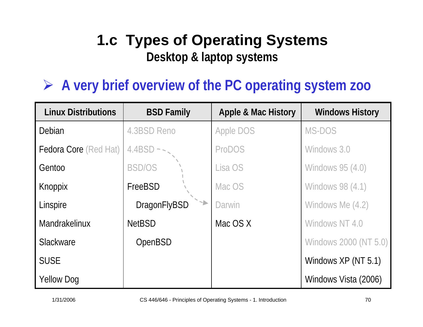# **1.c Types of Operating Systems Desktop & laptop systems**

## ¾ **A very brief overview of the PC operating system zoo**

| <b>Linux Distributions</b>   | <b>BSD Family</b>   | <b>Apple &amp; Mac History</b> | <b>Windows History</b>  |
|------------------------------|---------------------|--------------------------------|-------------------------|
| Debian                       | 4.3BSD Reno         | <b>Apple DOS</b>               | MS-DOS                  |
| <b>Fedora Core</b> (Red Hat) | $4.4BSD - -$        | <b>ProDOS</b>                  | Windows 3.0             |
| Gentoo                       | <b>BSD/OS</b>       | Lisa OS                        | <b>Windows 95 (4.0)</b> |
| Knoppix                      | FreeBSD             | Mac OS                         | Windows 98 (4.1)        |
| Linspire                     | <b>DragonFlyBSD</b> | Darwin                         | Windows Me (4.2)        |
| Mandrakelinux                | <b>NetBSD</b>       | Mac OS X                       | Windows NT 4.0          |
| Slackware                    | OpenBSD             |                                | Windows 2000 (NT 5.0)   |
| <b>SUSE</b>                  |                     |                                | Windows XP (NT 5.1)     |
| <b>Yellow Dog</b>            |                     |                                | Windows Vista (2006)    |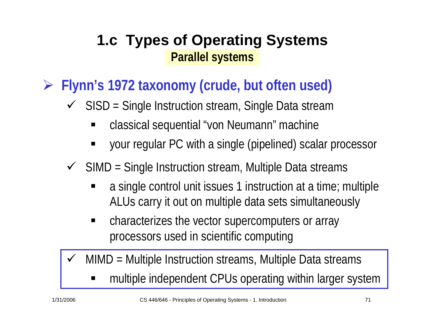¾ **Flynn's 1972 taxonomy (crude, but often used)**

- $\checkmark$  SISD = Single Instruction stream, Single Data stream
	- E classical sequential "von Neumann" machine
	- E your regular PC with a single (pipelined) scalar processor
- $\checkmark$  SIMD = Single Instruction stream, Multiple Data streams
	- a single control unit issues 1 instruction at a time; multiple ALUs carry it out on multiple data sets simultaneously
	- $\blacksquare$  characterizes the vector supercomputers or array processors used in scientific computing
- $\checkmark$  MIMD = Multiple Instruction streams, Multiple Data streams
	- E multiple independent CPUs operating within larger system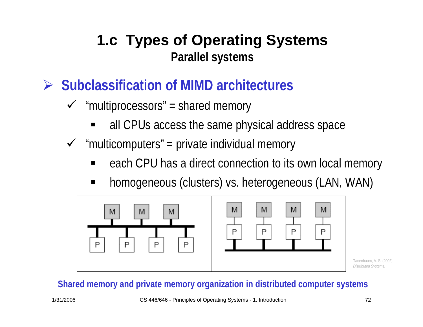- ¾ **Subclassification of MIMD architectures**
	- $\checkmark$  "multiprocessors" = shared memory
		- E all CPUs access the same physical address space
	- $\checkmark$  "multicomputers" = private individual memory
		- E each CPU has a direct connection to its own local memory
		- E homogeneous (clusters) vs. heterogeneous (LAN, WAN)



#### **Shared memory and private memory organization in distributed computer systems**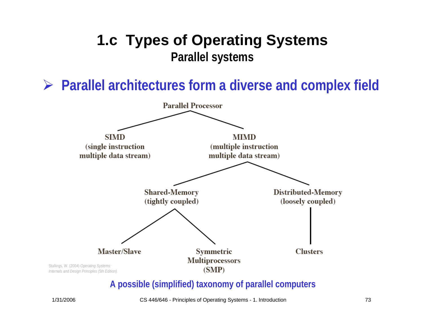¾ **Parallel architectures form a diverse and complex field**



#### **A possible (simplified) taxonomy of parallel computers**

1/31/2006 CS 446/646 - Principles of Operating Systems - 1. Introduction 73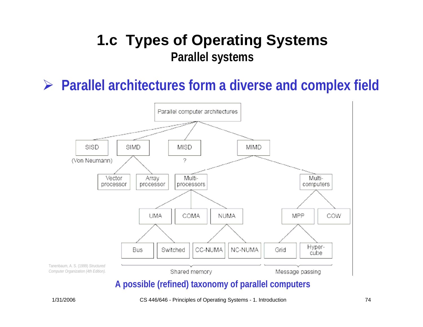#### ¾ **Parallel architectures form a diverse and complex field**



#### **A possible (refined) taxonomy of parallel computers**

1/31/2006 CS 446/646 - Principles of Operating Systems - 1. Introduction 74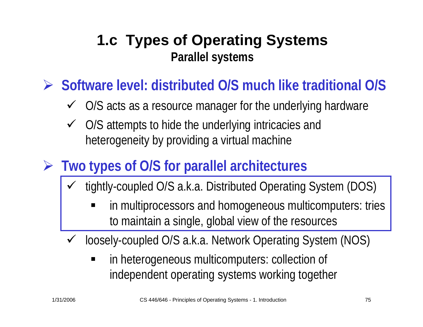¾ **Software level: distributed O/S much like traditional O/S**

- $\checkmark$ O/S acts as a resource manager for the underlying hardware
- $\checkmark$  O/S attempts to hide the underlying intricacies and heterogeneity by providing a virtual machine
- ¾ **Two types of O/S for parallel architectures**
	- $\checkmark$  tightly-coupled O/S a.k.a. Distributed Operating System (DOS)
		- in multiprocessors and homogeneous multicomputers: tries to maintain a single, global view of the resources
	- $\checkmark$  loosely-coupled O/S a.k.a. Network Operating System (NOS)
		- п in heterogeneous multicomputers: collection of independent operating systems working together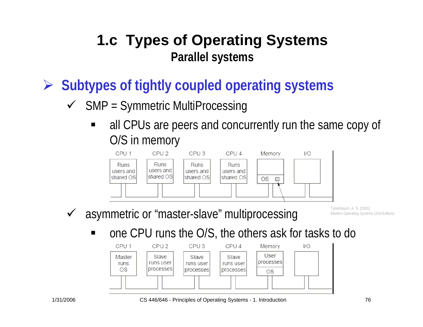¾ **Subtypes of tightly coupled operating systems**

- $\checkmark$  SMP = Symmetric MultiProcessing
	- E all CPUs are peers and concurrently run the same copy of O/S in memory



 $\checkmark$ asymmetric or "master-slave" multiprocessing Tanenbaum, A. S. (2001) *Modern Operating Systems (2nd Edition).* 

one CPU runs the O/S, the others ask for tasks to do



1/31/2006 CS 446/646 - Principles of Operating Systems - 1. Introduction 76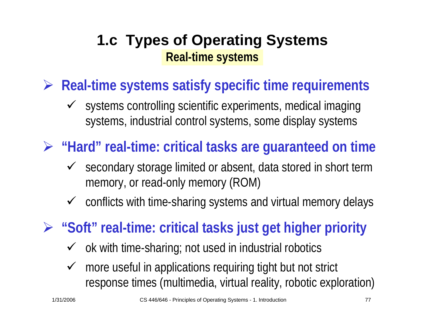## **1.c Types of Operating Systems Real-time systems**

¾ **Real-time systems satisfy specific time requirements**

 $\checkmark$  systems controlling scientific experiments, medical imaging systems, industrial control systems, some display systems

¾ **"Hard" real-time: critical tasks are guaranteed on time**

- $\checkmark$  secondary storage limited or absent, data stored in short term memory, or read-only memory (ROM)
- $\checkmark$  conflicts with time-sharing systems and virtual memory delays
- ¾ **"Soft" real-time: critical tasks just get higher priority**
	- $\checkmark$  ok with time-sharing; not used in industrial robotics
	- $\checkmark$  more useful in applications requiring tight but not strict response times (multimedia, virtual reality, robotic exploration)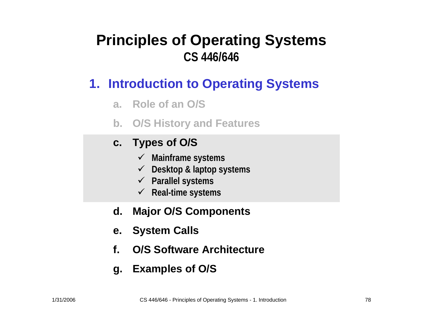#### **Principles of Operating Systems CS 446/646**

#### **1. Introduction to Operating Systems**

- **a. Role of an O/S**
- **b. O/S History and Features**

#### **c. Types of O / S**

- 9 **Mainframe systems**
- 9 **Desktop & laptop systems**
- 9 **Parallel systems**
- 9 **Real-time systems**
- **d.Major O/S Components**
- **e. System Calls**
- **f.O/S Software Architecture**
- **g. Examples of O/S**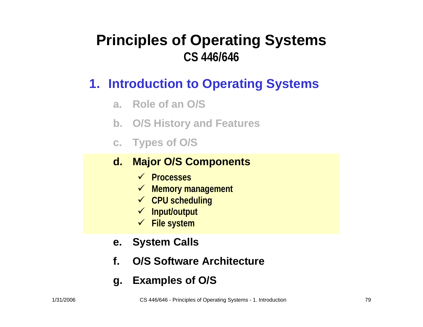#### **Principles of Operating Systems CS 446/646**

#### **1. Introduction to Operating Systems**

- **a. Role of an O/S**
- **b. O/S History and Features**
- **c. Types of O / S**

#### **d. Major O/S Components**

- 9 **Processes**
- 9 **Memory management**
- 9 **CPU scheduling**
- 9 **Input/output**
- 9 **File system**
- **e. System Calls**
- **f.O/S Software Architecture**
- **g. Examples of O/S**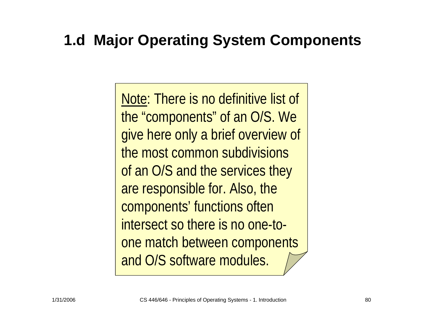# **1.d Major Operating System Components**

Note: There is no definitive list of the "components" of an O/S. We give here only a brief overview of the most common subdivisions of an O/S and the services they are responsible for. Also, the components' functions often intersect so there is no one-toone match between components and O/S software modules.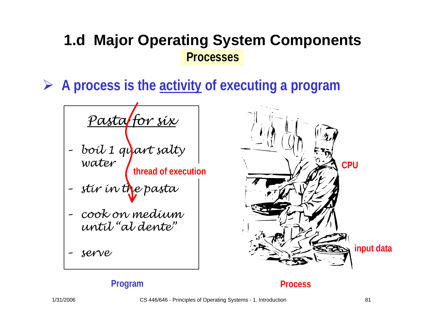¾ **A process is the activity of executing a program**

*Pasta for six – boil 1 quart salty water* **thread of execution**

*– stir in the pasta*

- *– cook on medium until "al dente"*
- *– serv e*



#### **Program Process**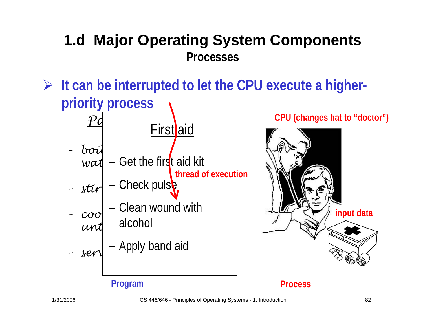¾ **It can be interrupted to let the CPU execute a higherpriority process**



**CPU (changes hat to "doctor")**



#### **Program Process**

1/31/2006 CS 446/646 - Principles of Operating Systems - 1. Introduction 82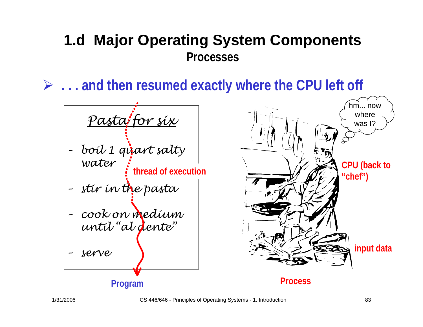¾ **. . . and then resumed exactly where the CPU left off**





1/31/2006 CS 446/646 - Principles of Operating Systems - 1. Introduction 83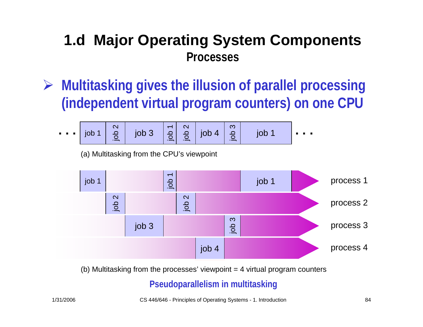¾ **Multitasking gives the illusion of parallel processing (independent virtual program counters) on one CPU** 

job 1 job 3 job 2 job 1 job 2 **. . .** job 4 **. . .** job 3 job 1

(a) Multitasking from the CPU's viewpoint



(b) Multitasking from the processes' viewpoint  $=$  4 virtual program counters

#### **Pseudoparallelism in multitasking**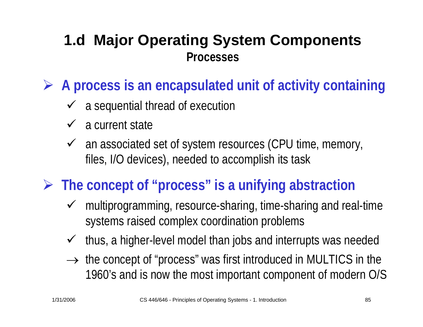¾ **A process is an encapsulated unit of activity containing**

- $\checkmark$  a sequential thread of execution
- $\checkmark$  a current state
- $\checkmark$  an associated set of system resources (CPU time, memory, files, I/O devices), needed to accomplish its task
- ¾ **The concept of "process" is a unifying abstraction**
	- $\checkmark$  multiprogramming, resource-sharing, time-sharing and real-time systems raised complex coordination problems
	- $\checkmark$ thus, a higher-level model than jobs and interrupts was needed
	- $\rightarrow$  the concept of "process" was first introduced in MULTICS in the 1960's and is now the most important component of modern O/S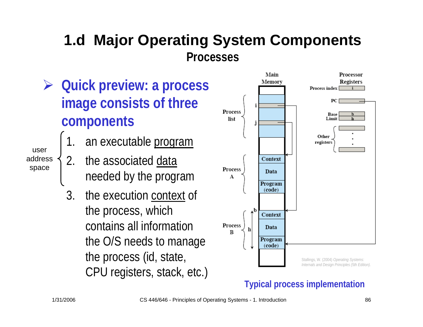- ¾ **Quick preview: a process image consists of three components**
	- 1.an executable program
	- 2.. the associated data needed by the program
	- 3. the execution context of the process, which contains all information the O/S needs to manage the process (id, state, CPU registers, stack, etc.)



#### **Typical process implementation**

useraddressspace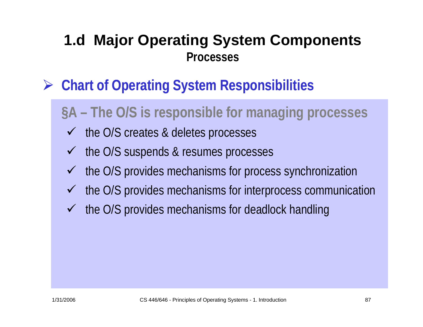- ¾ **Chart of Operating System Responsibilities**
	- **§A** The O/S is responsible for managing processes
	- $\checkmark$  the O/S creates & deletes processes
	- $\checkmark$  the O/S suspends & resumes processes
	- $\sqrt{ }$ the O/S provides mechanisms for process synchronization
	- $\sqrt{ }$ the O/S provides mechanisms for interprocess communication
	- $\checkmark$  the O/S provides mechanisms for deadlock handling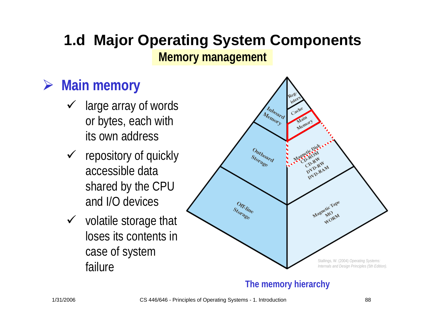### **1.d Major Operating System Components Memory management**

# ¾ **Main memory**

- $\checkmark$  large array of words or bytes, each with its own address
- $\checkmark$  repository of quickly accessible data shared by the CPU and I/O devices
- $\checkmark$  volatile storage that loses its contents in case of system failure



#### **The memory hierarchy**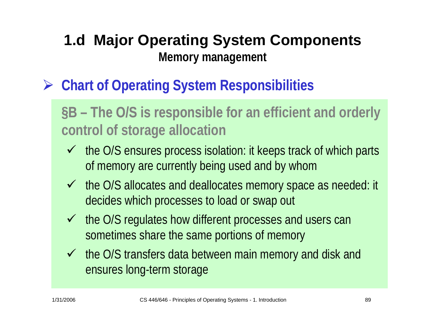### **1.d Major Operating System Components Memory management**

¾ **Chart of Operating System Responsibilities**

**§B** – The O/S is responsible for an efficient and orderly **control of storage allocation**

- $\checkmark$  the O/S ensures process isolation: it keeps track of which parts of memory are currently being used and by whom
- $\checkmark$  the O/S allocates and deallocates memory space as needed: it decides which processes to load or swap out
- $\checkmark$  the O/S regulates how different processes and users can sometimes share the same portions of memory
- $\checkmark$  the O/S transfers data between main memory and disk and ensures long-term storage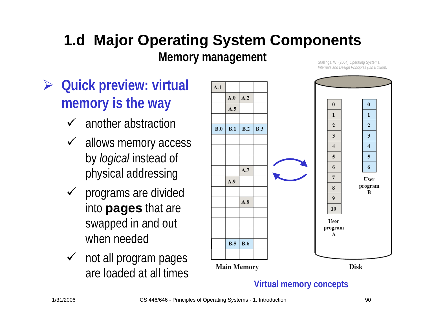#### **1.d Major Operating System Components Memory management** Stallings, W. (2004) *Operating Systems*:

*Internals and Design Principles (5th Edition).* 

- ¾ **Quick preview: virtual memory is the way**
	- $\checkmark$ another abstraction
	- $\checkmark$  allows memory access by *logical* instead of physical addressing
	- $\checkmark$  programs are divided into **pages** that are swapped in and out when needed
	- $\checkmark$  not all program pages are loaded at all times



**Virtual memory concepts**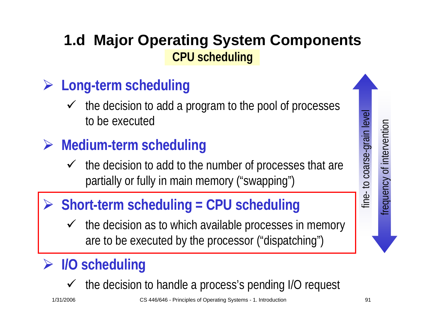## **1.d Major Operating System Components CPU scheduling**

# ¾ **Long-term scheduling**

- $\sqrt{ }$  the decision to add a program to the pool of processes to be executed
- ¾ **Medium-term scheduling**
	- $\checkmark$  the decision to add to the number of processes that are partially or fully in main memory ("swapping")

## ¾ **Short-term scheduling = CPU scheduling**

 $\checkmark$  the decision as to which available processes in memory are to be executed by the processor ("dispatching")

## ¾ **I/O scheduling**

 $\checkmark$  the decision to handle a process's pending I/O request

frequency of intervention

requency of intervention

fine- to coarse-grain level

line-to coarse-grain

level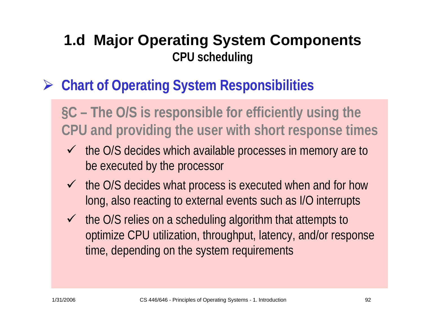### **1.d Major Operating System Components CPU scheduling**

# ¾ **Chart of Operating System Responsibilities**

**§C – The O/S is responsible for he for efficiently using the CPU and providing the user with short response times**

- $\checkmark$  the O/S decides which available processes in memory are to be executed by the processor
- $\checkmark$  the O/S decides what process is executed when and for how long, also reacting to external events such as I/O interrupts
- $\checkmark$  the O/S relies on a scheduling algorithm that attempts to optimize CPU utilization, throughput, latency, and/or response time, depending on the system requirements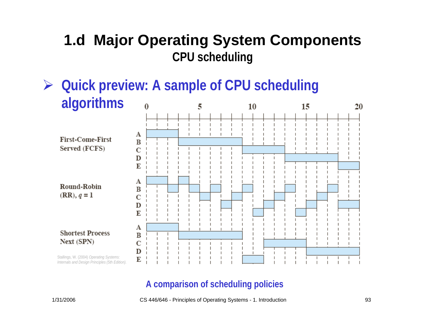#### **1.d Major Operating System Components CPU scheduling**

 **Quick preview: A sample of CPU scheduling**  ¾**algorithms** 15  $\Omega$ 5 10



#### **A comparison of scheduling policies**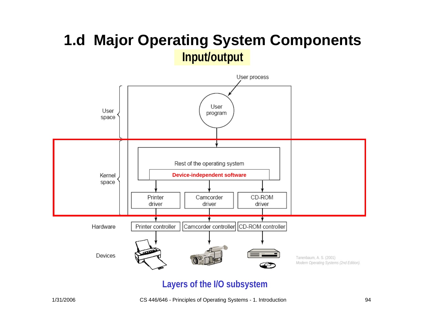#### **1.d Major Operating System Components Input/output**



#### **Layers of the I/O subsystem**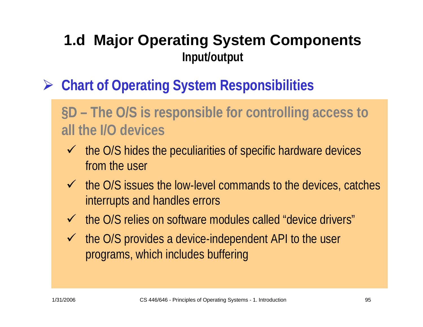### **1.d Major Operating System Components Input/output**

- ¾ **Chart of Operating System Responsibilities**
	- **§D – The O/S is responsible for controlling access to he for all the I/O devices**
		- $\checkmark$  the O/S hides the peculiarities of specific hardware devices from the user
		- $\checkmark$  the O/S issues the low-level commands to the devices, catches interrupts and handles errors
		- $\checkmark$  the O/S relies on software modules called "device drivers"
		- $\checkmark$  the O/S provides a device-independent API to the user programs, which includes buffering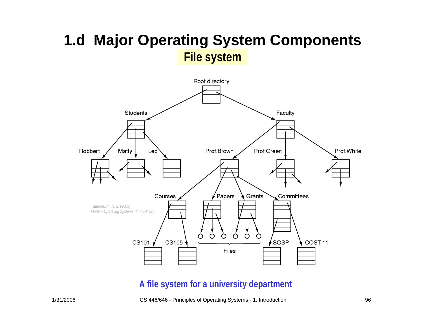#### **1.d Major Operating System Components File system**



#### **A file system for a university department**

1/31/2006 CS 446/646 - Principles of Operating Systems - 1. Introduction 96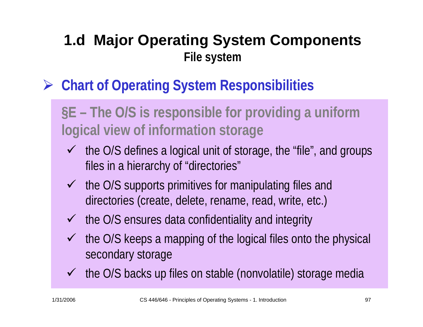## **1.d Major Operating System Components File system**

¾ **Chart of Operating System Responsibilities**

**§E – The O/S is responsible for he for providing a uniform logical view of information storage**

- $\checkmark$  the O/S defines a logical unit of storage, the "file", and groups files in a hierarchy of "directories"
- $\checkmark$  the O/S supports primitives for manipulating files and directories (create, delete, rename, read, write, etc.)
- $\checkmark$  the O/S ensures data confidentiality and integrity
- $\checkmark$  the O/S keeps a mapping of the logical files onto the physical secondary storage
- $\checkmark$  the O/S backs up files on stable (nonvolatile) storage media